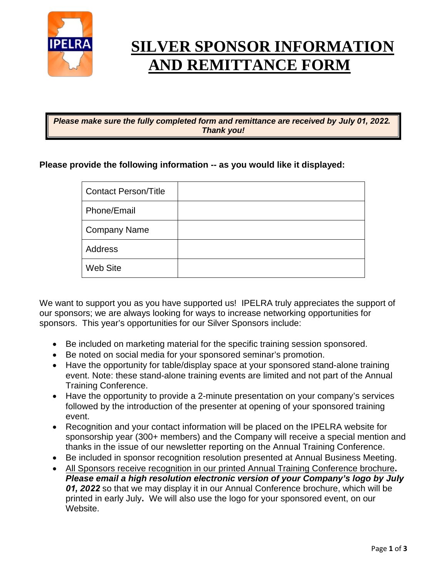

# **SILVER SPONSOR INFORMATION AND REMITTANCE FORM**

*Please make sure the fully completed form and remittance are received by July 01, 2022. Thank you!*

#### **Please provide the following information -- as you would like it displayed:**

| <b>Contact Person/Title</b> |  |
|-----------------------------|--|
| Phone/Email                 |  |
| <b>Company Name</b>         |  |
| Address                     |  |
| <b>Web Site</b>             |  |

We want to support you as you have supported us! IPELRA truly appreciates the support of our sponsors; we are always looking for ways to increase networking opportunities for sponsors. This year's opportunities for our Silver Sponsors include:

- Be included on marketing material for the specific training session sponsored.
- Be noted on social media for your sponsored seminar's promotion.
- Have the opportunity for table/display space at your sponsored stand-alone training event. Note: these stand-alone training events are limited and not part of the Annual Training Conference.
- Have the opportunity to provide a 2-minute presentation on your company's services followed by the introduction of the presenter at opening of your sponsored training event.
- Recognition and your contact information will be placed on the IPELRA website for sponsorship year (300+ members) and the Company will receive a special mention and thanks in the issue of our newsletter reporting on the Annual Training Conference.
- Be included in sponsor recognition resolution presented at Annual Business Meeting.
- All Sponsors receive recognition in our printed Annual Training Conference brochure**.**

*Please email a high resolution electronic version of your Company's logo by July 01, 2022* so that we may display it in our Annual Conference brochure, which will be printed in early July**.** We will also use the logo for your sponsored event, on our Website.